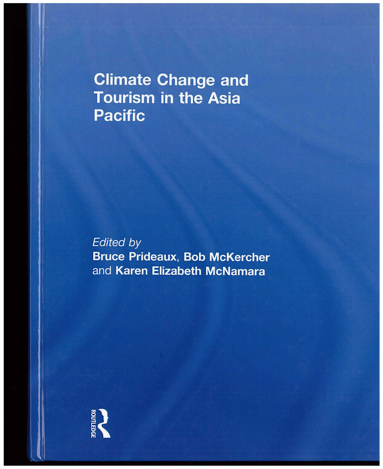**Climate Change and Tourism in the Asia Pacific** 

**Edited by Bruce Prideaux, Bob McKercher** and Karen Elizabeth McNamara

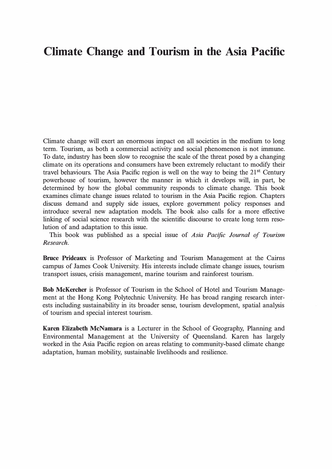# Climate Change and Tourism in the Asia Pacific

Climate change will exert an enormous impact on all societies in the medium to long term. Tourism, as both a commercial activity and social phenomenon is not immune. To date, industry has been slow to recognise the scale of the threat posed by a changing climate on its operations and consumers have been extremely reluctant to modify their travel behaviours. The Asia Pacific region is well on the way to being the  $21^{st}$  Century powerhouse of tourism, however the manner in which it develops will, in part, be determined by how the global community responds to climate change. This book examines climate change issues related to tourism in the Asia Pacific region. Chapters discuss demand and supply side issues, explore government policy responses and introduce several new adaptation models. The book also calls for a more effective linking of social science research with the scientific discourse to create long term resolution of and adaptation to this issue.

This book was published as a special issue of Asia Pacific Journal of Tourism Research.

Bruce Prideaux is Professor of Marketing and Tourism Management at the Cairns campus of James Cook University. His interests include climate change issues, tourism transport issues, crisis management, marine tourism and rainforest tourism.

Bob McKercher is Professor of Tourism in the School of Hotel and Tourism Management at the Hong Kong Polytechnic University. He has broad ranging research interests including sustainability in its broader sense, tourism development, spatial analysis of tourism and special interest tourism.

Karen Elizabeth McNamara is a Lecturer in the School of Geography, Planning and Environmental Management at the University of Queensland. Karen has largely worked in the Asia Pacific region on areas relating to community-based climate change adaptation, human mobility, sustainable livelihoods and resilience.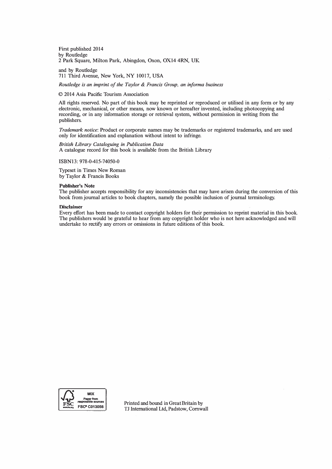First published 2014 by Routledge 2 Park Square, Milton Park, Abingdon, Oxon, OX14 4RN, UK

and by Routledge 711 Third Avenue, New York, NY 10017, USA

Routledge is an imprint of the Taylor & Francis Group, an informa business

© 2014 Asia Pacific Tourism Association

All rights reserved. No part of this book may be reprinted or reproduced or utilised in any form or by any electronic, mechanical, or other means, now known or hereafter invented, including photocopying and recording, or in any information storage or retrieval system, without permission in writing from the publishers.

Trademark notice: Product or corporate names may be trademarks or registered trademarks, and are used only for identification and explanation without intent to infringe.

British Library Cataloguing in Publication Data A catalogue record for this book is available from the British Library

ISBN13: 978-0-415-74050-0

Typeset in Times New Roman by Taylor & Francis Books

#### Publisher's Note

The publisher accepts responsibility for any inconsistencies that may have arisen during the conversion of this book from journal articles to book chapters, namely the possible inclusion of journal terminology.

#### Disclaimer

Every effort has been made to contact copyright holders for their permission to reprint material in this book. The publishers would be grateful to hear from any copyright holder who is not here acknowledged and will undertake to rectify any errors or omissions in future editions of this book .



Printed and bound in Great Britain by TJ International Ltd, Padstow, Cornwall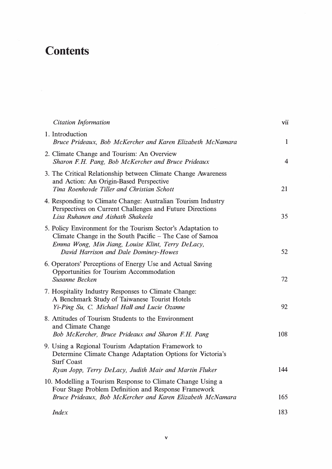# **Contents**

| <b>Citation Information</b>                                                                                                                                                                                           | vii          |
|-----------------------------------------------------------------------------------------------------------------------------------------------------------------------------------------------------------------------|--------------|
| 1. Introduction<br>Bruce Prideaux, Bob McKercher and Karen Elizabeth McNamara                                                                                                                                         | $\mathbf{1}$ |
| 2. Climate Change and Tourism: An Overview<br>Sharon F.H. Pang, Bob McKercher and Bruce Prideaux                                                                                                                      | 4            |
| 3. The Critical Relationship between Climate Change Awareness<br>and Action: An Origin-Based Perspective<br>Tina Roenhovde Tiller and Christian Schott                                                                | 21           |
| 4. Responding to Climate Change: Australian Tourism Industry<br>Perspectives on Current Challenges and Future Directions<br>Lisa Ruhanen and Aishath Shakeela                                                         | 35           |
| 5. Policy Environment for the Tourism Sector's Adaptation to<br>Climate Change in the South Pacific – The Case of Samoa<br>Emma Wong, Min Jiang, Louise Klint, Terry DeLacy,<br>David Harrison and Dale Dominey-Howes | 52           |
| 6. Operators' Perceptions of Energy Use and Actual Saving<br>Opportunities for Tourism Accommodation<br>Susanne Becken                                                                                                | 72           |
| 7. Hospitality Industry Responses to Climate Change:<br>A Benchmark Study of Taiwanese Tourist Hotels<br>Yi-Ping Su, C. Michael Hall and Lucie Ozanne                                                                 | 92           |
| 8. Attitudes of Tourism Students to the Environment<br>and Climate Change<br>Bob McKercher, Bruce Prideaux and Sharon F.H. Pang                                                                                       | 108          |
| 9. Using a Regional Tourism Adaptation Framework to<br>Determine Climate Change Adaptation Options for Victoria's<br><b>Surf Coast</b>                                                                                |              |
| Ryan Jopp, Terry DeLacy, Judith Mair and Martin Fluker                                                                                                                                                                | 144          |
| 10. Modelling a Tourism Response to Climate Change Using a<br>Four Stage Problem Definition and Response Framework<br>Bruce Prideaux, Bob McKercher and Karen Elizabeth McNamara                                      | 165          |
|                                                                                                                                                                                                                       |              |
| <b>Index</b>                                                                                                                                                                                                          | 183          |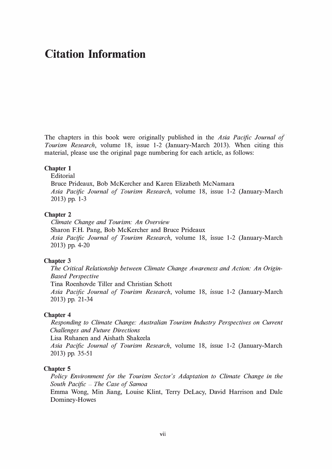# Citation Information

The chapters in this book were originally published in the Asia Pacific Journal of Tourism Research, volume 18, issue 1-2 (January-March 2013). When citing this material, please use the original page numbering for each article, as follows:

### Chapter 1

Editorial

Bruce Prideaux, Bob McKercher and Karen Elizabeth McNamara Asia Pacific Journal of Tourism Research, volume 18, issue 1-2 (January-March 2013) pp. 1-3

### Chapter 2

Climate Change and Tourism: An Overview Sharon F.H. Pang, Bob McKercher and Bruce Prideaux Asia Pacific Journal of Tourism Research, volume 18, issue 1-2 (January-March 2013) pp. 4-20

#### Chapter 3

The Critical Relationship between Climate Change Awareness and Action: An Origin-Based Perspective

Tina Roenhovde Tiller and Christian Schott

Asia Pacific Journal of Tourism Research, volume 18, issue 1-2 (January-March 2013) pp. 21-34

#### Chapter 4

Responding to Climate Change: Australian Tourism Industry Perspectives on Current Challenges and Future Directions

Lisa Ruhanen and Aishath Shakeela

Asia Pacific Journal of Tourism Research, volume 18, issue 1-2 (January-March 2013) pp. 35-51

### Chapter 5

Policy Environment for the Tourism Sector's Adaptation to Climate Change in the South Pacific  $-$  The Case of Samoa

Emma Wong, Min Jiang, Louise Klint, Terry DeLacy, David Harrison and Dale Dominey-Howes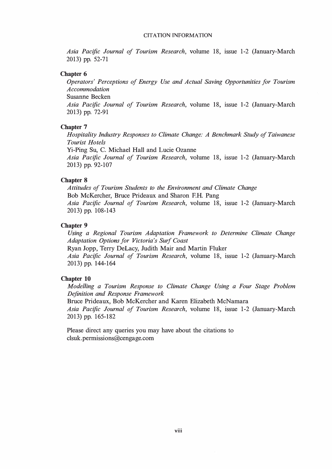#### CITATION INFORMATION

Asia Pacific Journal of Tourism Research, volume 18, issue 1-2 (January-March 2013) pp. 52-71

#### Chapter 6

Operators' Perceptions of Energy Use and Actual Saving Opportunities for Tourism Accommodation Susanne Becken

Asia Pacific Journal of Tourism Research, volume 18, issue 1-2 (January-March 2013) pp. 72-91

## Chapter 7

Hospitality Industry Responses to Climate Change: A Benchmark Study of Taiwanese Tourist Hotels

Yi-Ping Su, C. Michael Hall and Lucie Ozanne

Asia Pacific Journal of Tourism Research, volume 18, issue 1-2 (January-March 2013) pp. 92-107

### Chapter 8

Attitudes of Tourism Students to the Environment and Climate Change Bob McKercher, Bruce Prideaux and Sharon F.H. Pang Asia Pacific Journal of Tourism Research, volume 18, issue 1-2 (January-March 2013) pp. 108-143

#### Chapter 9

Using a Regional Tourism Adaptation Framework to Determine Climate Change Adaptation Options for Victoria's Surf Coast

Ryan Jopp, Terry DeLacy, Judith Mair and Martin Fluker

Asia Pacific Journal of Tourism Research, volume 18, issue 1-2 (January-March 2013) pp. 144-164

### Chapter 10

Modelling a Tourism Response to Climate Change Using a Four Stage Problem Definition and Response Framework

Bruce Prideaux, Bob McKercher and Karen Elizabeth McNamara

Asia Pacific Journal of Tourism Research, volume 18, issue 1-2 (January-March 2013) pp. 165-182

Please direct any queries you may have about the citations to clsuk . permissions@cengage.com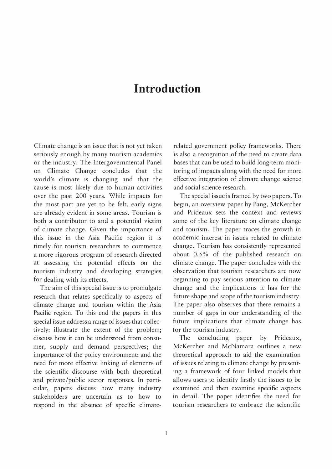# Introduction

Climate change is an issue that is not yet taken seriously enough by many tourism academics or the industry. The Intergovernmental Panel on Climate Change concludes that the world's climate is changing and that the cause is most likely due to human activities over the past 200 years. While impacts for the most part are yet to be felt, early signs are already evident in some areas. Tourism is both a contributor to and a potential victim of climate change. Given the importance of this issue in the Asia Pacific region it is timely for tourism researchers to commence a more rigorous program of research directed at assessing the potential effects on the tourism industry and developing strategies for dealing with its effects.

The aim of this special issue is to promulgate research that relates specifically to aspects of climate change and tourism within the Asia Pacific region. To this end the papers in this special issue address a range of issues that collectively: illustrate the extent of the problem; discuss how it can be understood from consumer, supply and demand perspectives; the importance of the policy environment; and the need for more effective linking of elements of the scientific discourse with both theoretical and private/public sector responses. In particular, papers discuss how many industry stakeholders are uncertain as to how to respond in the absence of specific climaterelated government policy frameworks. There is also a recognition of the need to create data bases that can be used to build long-term monitoring of impacts along with the need for more effective integration of climate change science and soeial science research.

The special issue is framed by two papers.To begin, an overview paper by Pang, McKercher and Prideaux sets the context and reviews some of the key literature on climate change and tourism. The paper traces the growth in academic interest in issues related to climate change. Tourism has consistently represented about 0.5% of the published research on climate change. The paper concludes with the observation that tourism researchers are now beginning to pay serious attention to climate change and the implications it has for the future shape and scope of the tourism industry. The paper also observes that there remains a number of gaps in our understanding of the future implications that climate change has for the tourism industry.

The concluding paper by Prideaux, McKercher and McNamara outlines a new theoretical approach to aid the examination of issues relating to climate change by presenting a framework of four linked models that allows users to identify firstly the issues to be examined and then examine specific aspects in detail. The paper identifies the need for tourism researchers to embrace the scientific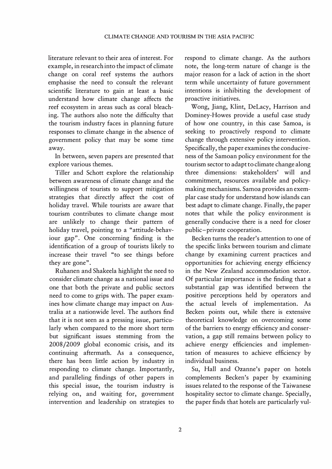literature relevant to their area of interest. For example, in research into the impact of climate change on coral reef systems the authors emphasise the need to consult the relevant scientific literature to gain at least a basic understand how climate change affects the reef ecosystem in areas such as coral bleaching. The authors also note the difficulty that the tourism industry faces in planning future responses to climate change in the absence of government policy that may be some time away.

In between, seven papers are presented that explore various themes.

Tiller and Schott explore the relationship between awareness of climate change and the willingness of tourists to support mitigation strategies that directly affect the cost of holiday travel. While tourists are aware that tourism contributes to climate change most are unlikely to change their pattern of holiday travel, pointing to a "attitude-behaviour gap". One concerning finding is the identification of a group of tourists likely to increase their travel "to see things before they are gone".

Ruhanen and Shakeela highlight the need to consider climate change as a national issue and one that both the private and public sectors need to come to grips with. The paper examines how climate change may impact on Australia at a nationwide level. The authors find that it is not seen as a pressing issue, particularly when compared to the more short term but significant issues stemming from the 2008 /2009 global economic crisis, and its continuing aftermath. As a consequence, there has been little action by industry in responding to climate change. Importantly, and paralleling findings of other papers in this special issue, the tourism industry is relying on, and waiting for, government intervention and leadership on strategies to respond to climate change. As the authors note, the long-term nature of change is the major reason for a lack of action in the short term while uncertainty of future government intentions is inhibiting the development of proactive initiatives.

Wong, Jiang, Klint, Delacy, Harrison and Dominey-Howes provide a useful case study of how one country, in this case Samoa, is seeking to proactively respond to climate change through extensive policy intervention. Specifically, the paper examines the conduciveness of the Samoan policy environment for the tourism sector to adapt to climate change along three dimensions: stakeholders' will and commitment, resources available and policymaking mechanisms. Samoa provides an exemplar case study for understand how islands can best adapt to climate change. Finally, the paper notes that while the policy environment is generally conducive there is a need for closer public-private cooperation.

Becken turns the reader's attention to one of the specific links between tourism and climate change by examining current practices and opportunities for achieving energy efficiency in the New Zealand accommodation sector. Of particular importance is the finding that a substantial gap was identified between the positive perceptions held by operators and the actual levels of implementation. As Becken points out, while there is extensive theoretical knowledge on overcoming some of the barriers to energy efficiency and conservation, a gap still remains between policy to achieve energy efficiencies and implementation of measures to achieve efficiency by individual business.

Su, Hall and Ozanne's paper on hotels complements Becken's paper by examining issues related to the response of the Taiwanese hospitality sector to climate change. Specially, the paper finds that hotels are particularly vul